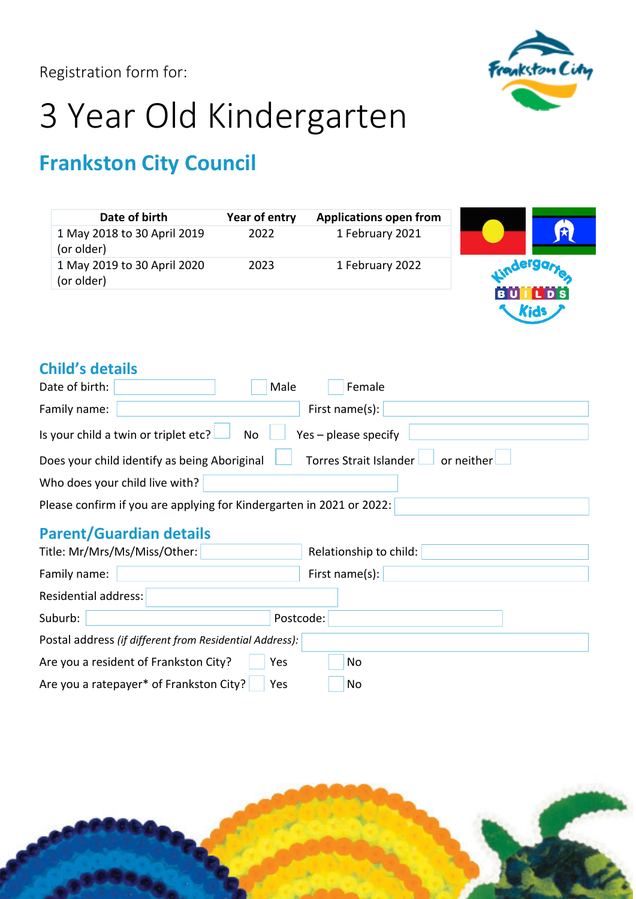Registration form for:



# 3 Year Old Kindergarten

## **Frankston City Council**

| Date of birth                             | Year of entry | <b>Applications open from</b> |           |                |
|-------------------------------------------|---------------|-------------------------------|-----------|----------------|
| 1 May 2018 to 30 April 2019<br>(or older) | 2022          | 1 February 2021               |           | $\mathbf{r}$   |
| 1 May 2019 to 30 April 2020<br>(or older) | 2023          | 1 February 2022               |           | <b>Aergare</b> |
|                                           |               |                               | <b>BU</b> | L D S          |

## **Child's details**

| Date of birth: | Male<br>Female                                                                       |
|----------------|--------------------------------------------------------------------------------------|
| Family name:   | First name(s):                                                                       |
|                | Is your child a twin or triplet etc? $\Box$ No<br>$Yes$ – please specify             |
|                | Torres Strait Islander<br>or neither<br>Does your child identify as being Aboriginal |
|                | Who does your child live with?                                                       |
|                | Please confirm if you are applying for Kindergarten in 2021 or 2022:                 |
|                |                                                                                      |

## **Parent/Guardian details**

| Title: Mr/Mrs/Ms/Miss/Other:                            | Relationship to child: |  |  |
|---------------------------------------------------------|------------------------|--|--|
| Family name:                                            | First name(s):         |  |  |
| Residential address:                                    |                        |  |  |
| Suburb:<br>Postcode:                                    |                        |  |  |
| Postal address (if different from Residential Address): |                        |  |  |
| Are you a resident of Frankston City?<br>Yes            | No                     |  |  |
| Are you a ratepayer* of Frankston City?<br>Yes          | No                     |  |  |

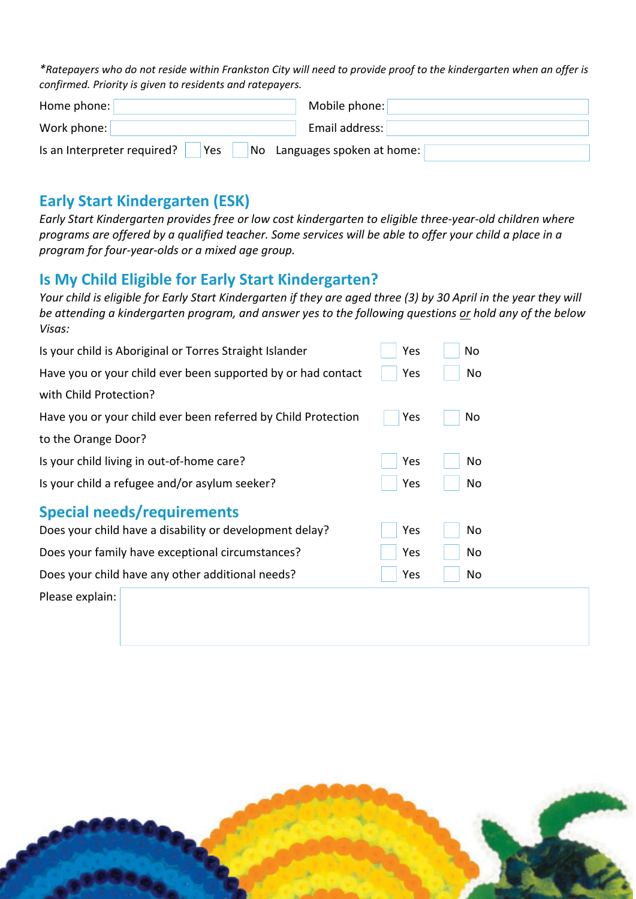\*Ratepayers who do not reside within Frankston City will need to provide proof to the kindergarten when an offer is *confirmed. Priority is given to residents and ratepayers.*

| Home phone:                        | Mobile phone:                |
|------------------------------------|------------------------------|
| Work phone:                        | Email address:               |
| Is an Interpreter required?<br>Yes | No Languages spoken at home: |

### **Early Start Kindergarten (ESK)**

Early Start Kindergarten provides free or low cost kindergarten to eligible three-year-old children where programs are offered by a qualified teacher. Some services will be able to offer your child a place in a *program for four‐year‐olds or a mixed age group.*

## **Is My Child Eligible for Early Start Kindergarten?**

Your child is eligible for Early Start Kindergarten if they are aged three (3) by 30 April in the year they will be attending a kindergarten program, and answer yes to the following questions or hold any of the below *Visas:* 

| Is your child is Aboriginal or Torres Straight Islander       | Yes | No |  |
|---------------------------------------------------------------|-----|----|--|
| Have you or your child ever been supported by or had contact  | Yes | No |  |
| with Child Protection?                                        |     |    |  |
| Have you or your child ever been referred by Child Protection | Yes | No |  |
| to the Orange Door?                                           |     |    |  |
| Is your child living in out-of-home care?                     | Yes | No |  |
| Is your child a refugee and/or asylum seeker?                 | Yes | No |  |
| <b>Special needs/requirements</b>                             |     |    |  |
| Does your child have a disability or development delay?       | Yes | No |  |
| Does your family have exceptional circumstances?              | Yes | No |  |
| Does your child have any other additional needs?              | Yes | No |  |
| Please explain:                                               |     |    |  |

the contract of the contract of the contract of the contract of the contract of the contract of the contract of

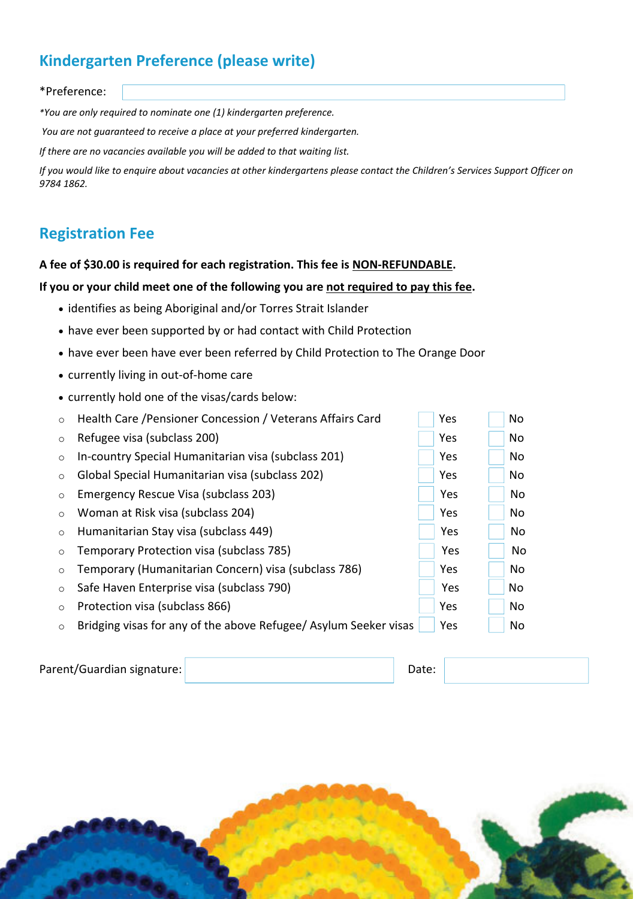## **Kindergarten Preference (please write)**

#### \*Preference:

*\*You are only required to nominate one (1) kindergarten preference.* 

*You are not guaranteed to receive a place at your preferred kindergarten.*

*If there are no vacancies available you will be added to that waiting list.*

If you would like to enquire about vacancies at other kindergartens please contact the Children's Services Support Officer on *9784 1862.* 

## **Registration Fee**

#### **A fee of \$30.00 is required for each registration. This fee is NON‐REFUNDABLE.**

#### **If you or your child meet one of the following you are not required to pay this fee.**

- identifies as being Aboriginal and/or Torres Strait Islander
- have ever been supported by or had contact with Child Protection
- have ever been have ever been referred by Child Protection to The Orange Door
- currently living in out-of-home care
- currently hold one of the visas/cards below:

| $\circ$ Refugee visa (subclass 200)                         | $ $ Yes | No No |
|-------------------------------------------------------------|---------|-------|
| $\circ$ In-country Special Humanitarian visa (subclass 201) | $ $ Yes | No    |

- o Global Special Humanitarian visa (subclass 202) Yes No
- o Emergency Rescue Visa (subclass 203) Yes No
- o Woman at Risk visa (subclass 204) Yes No
- o Humanitarian Stay visa (subclass 449) Yes No
- o Temporary Protection visa (subclass 785) Yes No
- o Temporary (Humanitarian Concern) visa (subclass 786) Yes No
- o Safe Haven Enterprise visa (subclass 790) Yes No
- o Protection visa (subclass 866) Yes No
- $\circ$  Bridging visas for any of the above Refugee/ Asylum Seeker visas  $\Box$  Yes  $\Box$  No

| Parent/Guardian signature: | Date: |  |
|----------------------------|-------|--|